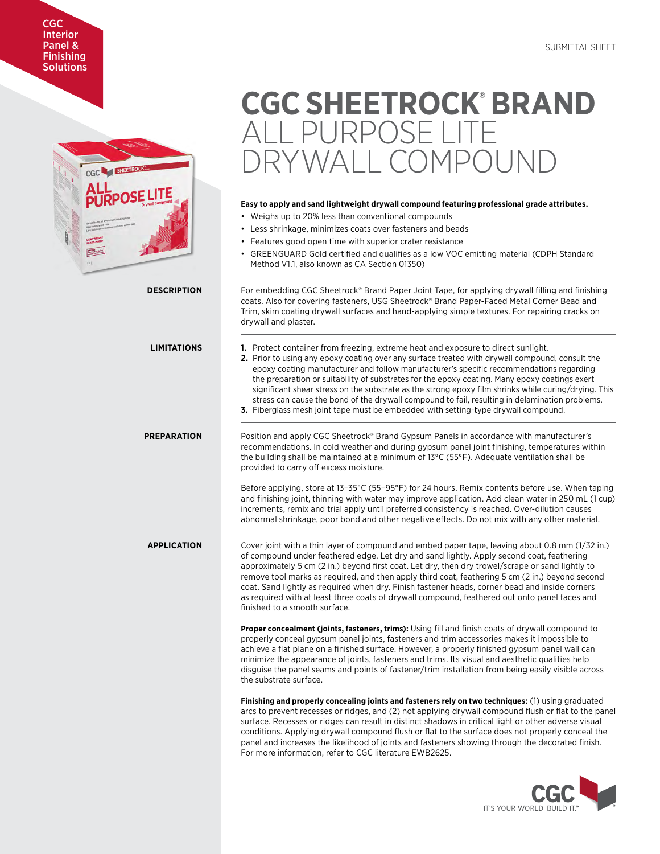# CGC Interior Panel & **Finishing Solutions**



# **CGC SHEETROCK**®  **BRAND**  ALL PURPOSE LITE OMPOUND

# **Easy to apply and sand lightweight drywall compound featuring professional grade attributes.**

• Weighs up to 20% less than conventional compounds

|                    | • Less shrinkage, minimizes coats over fasteners and beads<br>• Features good open time with superior crater resistance<br>• GREENGUARD Gold certified and qualifies as a low VOC emitting material (CDPH Standard<br>Method V1.1, also known as CA Section 01350)                                                                                                                                                                                                                                                                                                                                                                                                                      |
|--------------------|-----------------------------------------------------------------------------------------------------------------------------------------------------------------------------------------------------------------------------------------------------------------------------------------------------------------------------------------------------------------------------------------------------------------------------------------------------------------------------------------------------------------------------------------------------------------------------------------------------------------------------------------------------------------------------------------|
| <b>DESCRIPTION</b> | For embedding CGC Sheetrock® Brand Paper Joint Tape, for applying drywall filling and finishing<br>coats. Also for covering fasteners, USG Sheetrock® Brand Paper-Faced Metal Corner Bead and<br>Trim, skim coating drywall surfaces and hand-applying simple textures. For repairing cracks on<br>drywall and plaster.                                                                                                                                                                                                                                                                                                                                                                 |
| <b>LIMITATIONS</b> | <b>1.</b> Protect container from freezing, extreme heat and exposure to direct sunlight.<br>2. Prior to using any epoxy coating over any surface treated with drywall compound, consult the<br>epoxy coating manufacturer and follow manufacturer's specific recommendations regarding<br>the preparation or suitability of substrates for the epoxy coating. Many epoxy coatings exert<br>significant shear stress on the substrate as the strong epoxy film shrinks while curing/drying. This<br>stress can cause the bond of the drywall compound to fail, resulting in delamination problems.<br>3. Fiberglass mesh joint tape must be embedded with setting-type drywall compound. |
| <b>PREPARATION</b> | Position and apply CGC Sheetrock® Brand Gypsum Panels in accordance with manufacturer's<br>recommendations. In cold weather and during gypsum panel joint finishing, temperatures within<br>the building shall be maintained at a minimum of 13°C (55°F). Adequate ventilation shall be<br>provided to carry off excess moisture.<br>Before applying, store at 13-35°C (55-95°F) for 24 hours. Remix contents before use. When taping<br>and finishing joint, thinning with water may improve application. Add clean water in 250 mL (1 cup)                                                                                                                                            |
|                    | increments, remix and trial apply until preferred consistency is reached. Over-dilution causes<br>abnormal shrinkage, poor bond and other negative effects. Do not mix with any other material.                                                                                                                                                                                                                                                                                                                                                                                                                                                                                         |
| <b>APPLICATION</b> | Cover joint with a thin layer of compound and embed paper tape, leaving about 0.8 mm (1/32 in.)<br>of compound under feathered edge. Let dry and sand lightly. Apply second coat, feathering<br>approximately 5 cm (2 in.) beyond first coat. Let dry, then dry trowel/scrape or sand lightly to<br>remove tool marks as required, and then apply third coat, feathering 5 cm (2 in.) beyond second<br>coat. Sand lightly as required when dry. Finish fastener heads, corner bead and inside corners<br>as required with at least three coats of drywall compound, feathered out onto panel faces and<br>finished to a smooth surface.                                                 |
|                    | <b>Proper concealment (joints, fasteners, trims):</b> Using fill and finish coats of drywall compound to<br>properly conceal gypsum panel joints, fasteners and trim accessories makes it impossible to<br>achieve a flat plane on a finished surface. However, a properly finished gypsum panel wall can<br>minimize the appearance of joints, fasteners and trims. Its visual and aesthetic qualities help<br>disguise the panel seams and points of fastener/trim installation from being easily visible across<br>the substrate surface.                                                                                                                                            |
|                    | Finishing and properly concealing joints and fasteners rely on two techniques: (1) using graduated<br>arcs to prevent recesses or ridges, and (2) not applying drywall compound flush or flat to the panel<br>surface. Recesses or ridges can result in distinct shadows in critical light or other adverse visual<br>conditions. Applying drywall compound flush or flat to the surface does not properly conceal the<br>panel and increases the likelihood of joints and fasteners showing through the decorated finish.<br>For more information, refer to CGC literature EWB2625.                                                                                                    |